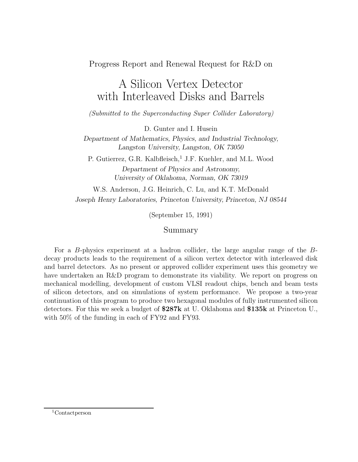Progress Report and Renewal Request for R&D on

# A Silicon Vertex Detector with Interleaved Disks and Barrels

*(Submitted to the Superconducting Super Collider Laboratory)*

D. Gunter and I. Husein

*Department of Mathematics, Physics, and Industrial Technology, Langston University, Langston, OK 73050*

P. Gutierrez, G.R. Kalbfleisch,<sup>1</sup> J.F. Kuehler, and M.L. Wood *Department of Physics and Astronomy, University of Oklahoma, Norman, OK 73019*

W.S. Anderson, J.G. Heinrich, C. Lu, and K.T. McDonald *Joseph Henry Laboratories, Princeton University, Princeton, NJ 08544*

(September 15, 1991)

#### Summary

For a B-physics experiment at a hadron collider, the large angular range of the Bdecay products leads to the requirement of a silicon vertex detector with interleaved disk and barrel detectors. As no present or approved collider experiment uses this geometry we have undertaken an R&D program to demonstrate its viability. We report on progress on mechanical modelling, development of custom VLSI readout chips, bench and beam tests of silicon detectors, and on simulations of system performance. We propose a two-year continuation of this program to produce two hexagonal modules of fully instrumented silicon detectors. For this we seek a budget of **\$287k** at U. Oklahoma and **\$135k** at Princeton U., with 50% of the funding in each of FY92 and FY93.

<sup>1</sup>Contactperson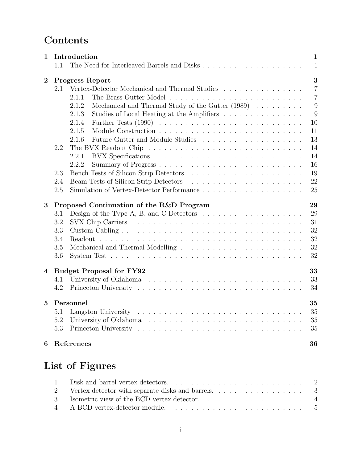# **Contents**

| $\mathbf{1}$     |     | Introduction                                                                         | $\mathbf{1}$   |
|------------------|-----|--------------------------------------------------------------------------------------|----------------|
|                  | 1.1 |                                                                                      | $\mathbf{1}$   |
| $\boldsymbol{2}$ |     | <b>Progress Report</b>                                                               | 3              |
|                  | 2.1 | Vertex-Detector Mechanical and Thermal Studies                                       | $\overline{7}$ |
|                  |     | 2.1.1                                                                                | $\overline{7}$ |
|                  |     | Mechanical and Thermal Study of the Gutter $(1989) \ldots \ldots \ldots$<br>2.1.2    | 9              |
|                  |     | Studies of Local Heating at the Amplifiers<br>2.1.3                                  | 9              |
|                  |     | 2.1.4                                                                                | 10             |
|                  |     | 2.1.5                                                                                | 11             |
|                  |     | 2.1.6                                                                                | 13             |
|                  | 2.2 |                                                                                      | 14             |
|                  |     | 2.2.1                                                                                | 14             |
|                  |     | 2.2.2<br>Summary of Progress                                                         | 16             |
|                  | 2.3 |                                                                                      | 19             |
|                  | 2.4 |                                                                                      | 22             |
|                  | 2.5 |                                                                                      | 25             |
| 3                |     | Proposed Continuation of the R&D Program                                             | 29             |
|                  | 3.1 | Design of the Type A, B, and C Detectors $\dots \dots \dots \dots \dots \dots \dots$ | 29             |
|                  | 3.2 |                                                                                      | 31             |
|                  | 3.3 |                                                                                      | 32             |
|                  | 3.4 | Readout                                                                              | 32             |
|                  | 3.5 |                                                                                      | 32             |
|                  | 3.6 |                                                                                      | 32             |
| 4                |     | <b>Budget Proposal for FY92</b>                                                      | 33             |
|                  | 4.1 |                                                                                      | 33             |
|                  | 4.2 |                                                                                      | 34             |
| $\bf{5}$         |     | Personnel                                                                            | 35             |
|                  | 5.1 |                                                                                      | 35             |
|                  | 5.2 |                                                                                      | 35             |
|                  | 5.3 |                                                                                      | 35             |
| 6                |     | References                                                                           | 36             |
|                  |     |                                                                                      |                |

# **List of Figures**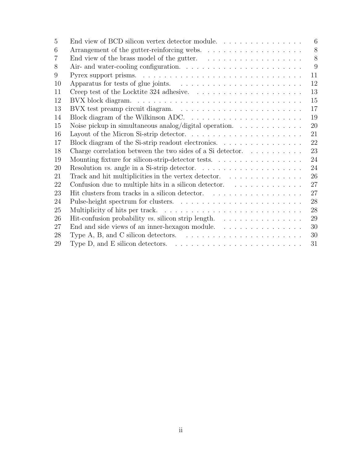| 5  | End view of BCD silicon vertex detector module. $\ldots \ldots \ldots \ldots \ldots$<br>6            |
|----|------------------------------------------------------------------------------------------------------|
| 6  | 8                                                                                                    |
| 7  | 8                                                                                                    |
| 8  | 9                                                                                                    |
| 9  | 11                                                                                                   |
| 10 | Apparatus for tests of glue joints. $\ldots \ldots \ldots \ldots \ldots \ldots \ldots$<br>12         |
| 11 | 13<br>Creep test of the Locktite 324 adhesive. $\ldots \ldots \ldots \ldots \ldots \ldots \ldots$    |
| 12 | 15                                                                                                   |
| 13 | 17                                                                                                   |
| 14 | 19                                                                                                   |
| 15 | 20<br>Noise pickup in simultaneous analog/digital operation. $\ldots \ldots \ldots \ldots$           |
| 16 | 21                                                                                                   |
| 17 | 22<br>Block diagram of the Si-strip readout electronics.                                             |
| 18 | 23<br>Charge correlation between the two sides of a Si detector. $\dots \dots \dots$                 |
| 19 | 24                                                                                                   |
| 20 | 24<br>Resolution vs. angle in a Si-strip detector. $\ldots \ldots \ldots \ldots \ldots \ldots$       |
| 21 | 26<br>Track and hit multiplicities in the vertex detector. $\ldots$ , , ,                            |
| 22 | 27<br>Confusion due to multiple hits in a silicon detector. $\ldots \ldots \ldots \ldots$            |
| 23 | 27                                                                                                   |
| 24 | 28                                                                                                   |
| 25 | 28                                                                                                   |
| 26 | 29<br>Hit-confusion probability vs. silicon strip length. $\ldots \ldots \ldots \ldots \ldots$       |
| 27 | 30<br>End and side views of an inner-hexagon module. $\dots \dots \dots \dots \dots$                 |
| 28 | Type A, B, and C silicon detectors. $\dots \dots \dots \dots \dots \dots \dots \dots \dots$<br>30    |
| 29 | Type D, and E silicon detectors. $\dots \dots \dots \dots \dots \dots \dots \dots \dots \dots$<br>31 |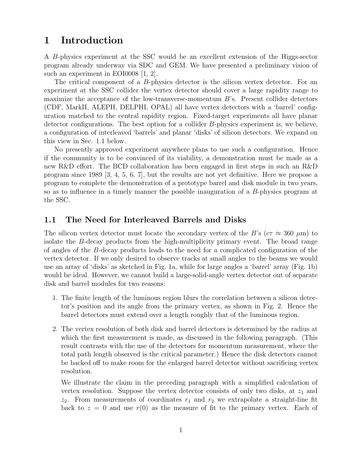## **1 Introduction**

A B-physics experiment at the SSC would be an excellent extension of the Higgs-sector program already underway via SDC and GEM. We have presented a preliminary vision of such an experiment in EOI0008 [1, 2].

The critical component of a B-physics detector is the silicon vertex detector. For an experiment at the SSC collider the vertex detector should cover a large rapidity range to maximize the acceptance of the low-transverse-momentum  $B$ 's. Present collider detectors (CDF, MarkII, ALEPH, DELPHI, OPAL) all have vertex detectors with a 'barrel' configuration matched to the central rapidity region. Fixed-target experiments all have planar detector configurations. The best option for a collider  $B$ -physics experiment is, we believe, a configuration of interleaved 'barrels' and planar 'disks' of silicon detectors. We expand on this view in Sec. 1.1 below.

No presently approved experiment anywhere plans to use such a configuration. Hence if the community is to be convinced of its viability, a demonstration must be made as a new R&D effort. The BCD collaboration has been engaged in first steps in such an R&D program since 1989 [3, 4, 5, 6, 7], but the results are not yet definitive. Here we propose a program to complete the demonstration of a prototype barrel and disk module in two years, so as to influence in a timely manner the possible inauguration of a B-physics program at the SSC.

### **1.1 The Need for Interleaved Barrels and Disks**

The silicon vertex detector must locate the secondary vertex of the B's ( $c\tau \approx 360 \ \mu m$ ) to isolate the B-decay products from the high-multiplicity primary event. The broad range of angles of the B-decay products leads to the need for a complicated configuration of the vertex detector. If we only desired to observe tracks at small angles to the beams we would use an array of 'disks' as sketched in Fig. 1a, while for large angles a 'barrel' array (Fig. 1b) would be ideal. However, we cannot build a large-solid-angle vertex detector out of separate disk and barrel modules for two reasons:

- 1. The finite length of the luminous region blurs the correlation between a silicon detector's position and its angle from the primary vertex, as shown in Fig. 2. Hence the barrel detectors must extend over a length roughly that of the luminous region.
- 2. The vertex resolution of both disk and barrel detectors is determined by the radius at which the first measurement is made, as discussed in the following paragraph. (This result contrasts with the use of the detectors for momentum measurement, where the total path length observed is the critical parameter.) Hence the disk detectors cannot be backed off to make room for the enlarged barrel detector without sacrificing vertex resolution.

We illustrate the claim in the preceding paragraph with a simplified calculation of vertex resolution. Suppose the vertex detector consists of only two disks, at  $z_1$  and  $z_2$ . From measurements of coordinates  $r_1$  and  $r_2$  we extrapolate a straight-line fit back to  $z = 0$  and use  $r(0)$  as the measure of fit to the primary vertex. Each of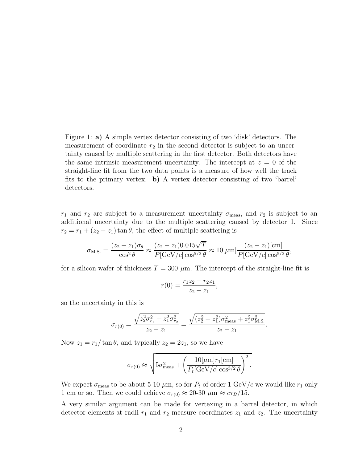Figure 1: **a)** A simple vertex detector consisting of two 'disk' detectors. The measurement of coordinate  $r_2$  in the second detector is subject to an uncertainty caused by multiple scattering in the first detector. Both detectors have the same intrinsic measurement uncertainty. The intercept at  $z = 0$  of the straight-line fit from the two data points is a measure of how well the track fits to the primary vertex. **b)** A vertex detector consisting of two 'barrel' detectors.

 $r_1$  and  $r_2$  are subject to a measurement uncertainty  $\sigma_{\text{meas}}$ , and  $r_2$  is subject to an additional uncertainty due to the multiple scattering caused by detector 1. Since  $r_2 = r_1 + (z_2 - z_1) \tan \theta$ , the effect of multiple scattering is

$$
\sigma_{\rm M.S.} = \frac{(z_2 - z_1)\sigma_{\theta}}{\cos^2 \theta} \approx \frac{(z_2 - z_1)0.015\sqrt{T}}{P[\text{GeV}/c] \cos^{5/2} \theta} \approx 10 [\mu \text{m}] \frac{(z_2 - z_1)[\text{cm}]}{P[\text{GeV}/c] \cos^{5/2} \theta},
$$

for a silicon wafer of thickness  $T = 300 \mu m$ . The intercept of the straight-line fit is

$$
r(0) = \frac{r_1 z_2 - r_2 z_1}{z_2 - z_1},
$$

so the uncertainty in this is

$$
\sigma_{r(0)} = \frac{\sqrt{z_2^2 \sigma_{r_1}^2 + z_1^2 \sigma_{r_2}^2}}{z_2 - z_1} = \frac{\sqrt{(z_2^2 + z_1^2) \sigma_{\text{meas}}^2 + z_1^2 \sigma_{\text{M.S.}}^2}}{z_2 - z_1}
$$

.

Now  $z_1 = r_1/\tan\theta$ , and typically  $z_2 = 2z_1$ , so we have

$$
\sigma_{r(0)} \approx \sqrt{5\sigma_{\text{meas}}^2 + \left(\frac{10[\mu\text{m}]\text{r}_1[\text{cm}]}{P_t[\text{GeV}/c]\cos^{3/2}\theta}\right)^2}.
$$

We expect  $\sigma_{\text{meas}}$  to be about 5-10  $\mu$ m, so for  $P_t$  of order 1 GeV/c we would like  $r_1$  only 1 cm or so. Then we could achieve  $\sigma_{r(0)} \approx 20{\text -}30 \ \mu \text{m} \approx c \tau_B/15$ .

A very similar argument can be made for vertexing in a barrel detector, in which detector elements at radii  $r_1$  and  $r_2$  measure coordinates  $z_1$  and  $z_2$ . The uncertainty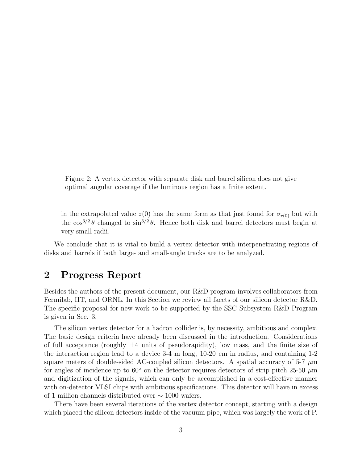Figure 2: A vertex detector with separate disk and barrel silicon does not give optimal angular coverage if the luminous region has a finite extent.

in the extrapolated value  $z(0)$  has the same form as that just found for  $\sigma_{r(0)}$  but with the  $\cos^{3/2}\theta$  changed to  $\sin^{3/2}\theta$ . Hence both disk and barrel detectors must begin at very small radii.

We conclude that it is vital to build a vertex detector with interpenetrating regions of disks and barrels if both large- and small-angle tracks are to be analyzed.

## **2 Progress Report**

Besides the authors of the present document, our R&D program involves collaborators from Fermilab, IIT, and ORNL. In this Section we review all facets of our silicon detector R&D. The specific proposal for new work to be supported by the SSC Subsystem R&D Program is given in Sec. 3.

The silicon vertex detector for a hadron collider is, by necessity, ambitious and complex. The basic design criteria have already been discussed in the introduction. Considerations of full acceptance (roughly  $\pm 4$  units of pseudorapidity), low mass, and the finite size of the interaction region lead to a device 3-4 m long, 10-20 cm in radius, and containing 1-2 square meters of double-sided AC-coupled silicon detectors. A spatial accuracy of 5-7  $\mu$ m for angles of incidence up to  $60°$  on the detector requires detectors of strip pitch 25-50  $\mu$ m and digitization of the signals, which can only be accomplished in a cost-effective manner with on-detector VLSI chips with ambitious specifications. This detector will have in excess of 1 million channels distributed over ∼ 1000 wafers.

There have been several iterations of the vertex detector concept, starting with a design which placed the silicon detectors inside of the vacuum pipe, which was largely the work of P.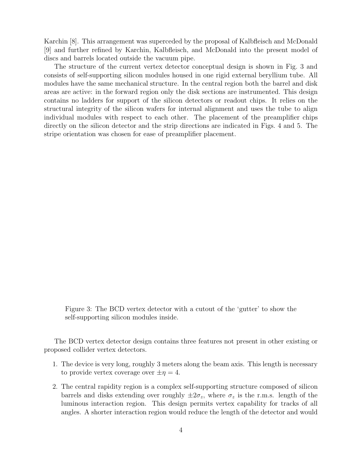Karchin [8]. This arrangement was superceded by the proposal of Kalbfleisch and McDonald [9] and further refined by Karchin, Kalbfleisch, and McDonald into the present model of discs and barrels located outside the vacuum pipe.

The structure of the current vertex detector conceptual design is shown in Fig. 3 and consists of self-supporting silicon modules housed in one rigid external beryllium tube. All modules have the same mechanical structure. In the central region both the barrel and disk areas are active: in the forward region only the disk sections are instrumented. This design contains no ladders for support of the silicon detectors or readout chips. It relies on the structural integrity of the silicon wafers for internal alignment and uses the tube to align individual modules with respect to each other. The placement of the preamplifier chips directly on the silicon detector and the strip directions are indicated in Figs. 4 and 5. The stripe orientation was chosen for ease of preamplifier placement.

Figure 3: The BCD vertex detector with a cutout of the 'gutter' to show the self-supporting silicon modules inside.

The BCD vertex detector design contains three features not present in other existing or proposed collider vertex detectors.

- 1. The device is very long, roughly 3 meters along the beam axis. This length is necessary to provide vertex coverage over  $\pm \eta = 4$ .
- 2. The central rapidity region is a complex self-supporting structure composed of silicon barrels and disks extending over roughly  $\pm 2\sigma_z$ , where  $\sigma_z$  is the r.m.s. length of the luminous interaction region. This design permits vertex capability for tracks of all angles. A shorter interaction region would reduce the length of the detector and would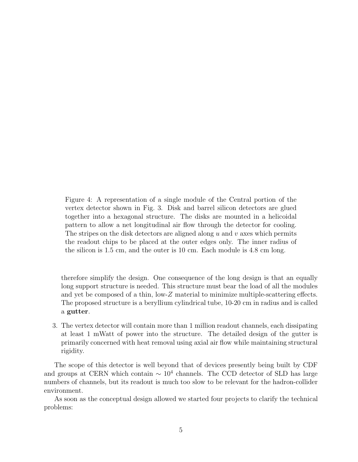Figure 4: A representation of a single module of the Central portion of the vertex detector shown in Fig. 3. Disk and barrel silicon detectors are glued together into a hexagonal structure. The disks are mounted in a helicoidal pattern to allow a net longitudinal air flow through the detector for cooling. The stripes on the disk detectors are aligned along  $u$  and  $v$  axes which permits the readout chips to be placed at the outer edges only. The inner radius of the silicon is 1.5 cm, and the outer is 10 cm. Each module is 4.8 cm long.

therefore simplify the design. One consequence of the long design is that an equally long support structure is needed. This structure must bear the load of all the modules and yet be composed of a thin, low-Z material to minimize multiple-scattering effects. The proposed structure is a beryllium cylindrical tube, 10-20 cm in radius and is called a **gutter**.

3. The vertex detector will contain more than 1 million readout channels, each dissipating at least 1 mWatt of power into the structure. The detailed design of the gutter is primarily concerned with heat removal using axial air flow while maintaining structural rigidity.

The scope of this detector is well beyond that of devices presently being built by CDF and groups at CERN which contain  $\sim 10^4$  channels. The CCD detector of SLD has large numbers of channels, but its readout is much too slow to be relevant for the hadron-collider environment.

As soon as the conceptual design allowed we started four projects to clarify the technical problems: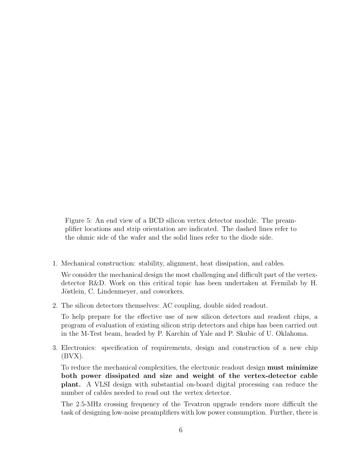Figure 5: An end view of a BCD silicon vertex detector module. The preamplifier locations and strip orientation are indicated. The dashed lines refer to the ohmic side of the wafer and the solid lines refer to the diode side.

1. Mechanical construction: stability, alignment, heat dissipation, and cables.

We consider the mechanical design the most challenging and difficult part of the vertexdetector R&D. Work on this critical topic has been undertaken at Fermilab by H. Jöstlein, C. Lindenmeyer, and coworkers.

2. The silicon detectors themselves: AC coupling, double sided readout.

To help prepare for the effective use of new silicon detectors and readout chips, a program of evaluation of existing silicon strip detectors and chips has been carried out in the M-Test beam, headed by P. Karchin of Yale and P. Skubic of U. Oklahoma.

3. Electronics: specification of requirements, design and construction of a new chip  $(BVX)$ .

To reduce the mechanical complexities, the electronic readout design **must minimize both power dissipated and size and weight of the vertex-detector cable plant.** A VLSI design with substantial on-board digital processing can reduce the number of cables needed to read out the vertex detector.

The 2.5-MHz crossing frequency of the Tevatron upgrade renders more difficult the task of designing low-noise preamplifiers with low power consumption. Further, there is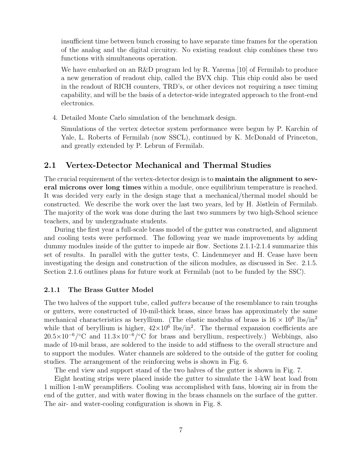insufficient time between bunch crossing to have separate time frames for the operation of the analog and the digital circuitry. No existing readout chip combines these two functions with simultaneous operation.

We have embarked on an R&D program led by R. Yarema [10] of Fermilab to produce a new generation of readout chip, called the BVX chip. This chip could also be used in the readout of RICH counters, TRD's, or other devices not requiring a nsec timing capability, and will be the basis of a detector-wide integrated approach to the front-end electronics.

4. Detailed Monte Carlo simulation of the benchmark design.

Simulations of the vertex detector system performance were begun by P. Karchin of Yale, L. Roberts of Fermilab (now SSCL), continued by K. McDonald of Princeton, and greatly extended by P. Lebrun of Fermilab.

#### **2.1 Vertex-Detector Mechanical and Thermal Studies**

The crucial requirement of the vertex-detector design is to **maintain the alignment to several microns over long times** within a module, once equilibrium temperature is reached. It was decided very early in the design stage that a mechanical/thermal model should be constructed. We describe the work over the last two years, led by H. Jöstlein of Fermilab. The majority of the work was done during the last two summers by two high-School science teachers, and by undergraduate students.

During the first year a full-scale brass model of the gutter was constructed, and alignment and cooling tests were performed. The following year we made improvements by adding dummy modules inside of the gutter to impede air flow. Sections 2.1.1-2.1.4 summarize this set of results. In parallel with the gutter tests, C. Lindenmeyer and H. Cease have been investigating the design and construction of the silicon modules, as discussed in Sec. 2.1.5. Section 2.1.6 outlines plans for future work at Fermilab (not to be funded by the SSC).

#### **2.1.1 The Brass Gutter Model**

The two halves of the support tube, called *gutters* because of the resemblance to rain troughs or gutters, were constructed of 10-mil-thick brass, since brass has approximately the same mechanical characteristics as beryllium. (The elastic modulus of brass is  $16 \times 10^6$  lbs/in<sup>2</sup> while that of beryllium is higher,  $42\times10^6$  lbs/in<sup>2</sup>. The thermal expansion coefficients are  $20.5\times10^{-6}$  /°C and  $11.3\times10^{-6}$  /°C for brass and beryllium, respectively.) Webbings, also made of 10-mil brass, are soldered to the inside to add stiffness to the overall structure and to support the modules. Water channels are soldered to the outside of the gutter for cooling studies. The arrangement of the reinforcing webs is shown in Fig. 6.

The end view and support stand of the two halves of the gutter is shown in Fig. 7.

Eight heating strips were placed inside the gutter to simulate the 1-kW heat load from 1 million 1-mW preamplifiers. Cooling was accomplished with fans, blowing air in from the end of the gutter, and with water flowing in the brass channels on the surface of the gutter. The air- and water-cooling configuration is shown in Fig. 8.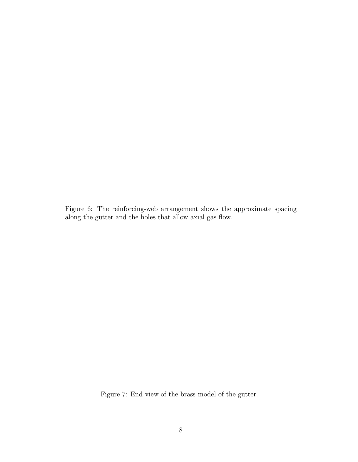Figure 6: The reinforcing-web arrangement shows the approximate spacing along the gutter and the holes that allow axial gas flow.

Figure 7: End view of the brass model of the gutter.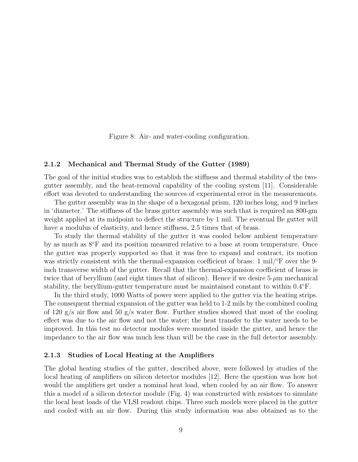Figure 8: Air- and water-cooling configuration.

#### **2.1.2 Mechanical and Thermal Study of the Gutter (1989)**

The goal of the initial studies was to establish the stiffness and thermal stability of the twogutter assembly, and the heat-removal capability of the cooling system [11]. Considerable effort was devoted to understanding the sources of experimental error in the measurements.

The gutter assembly was in the shape of a hexagonal prism, 120 inches long, and 9 inches in 'diameter.' The stiffness of the brass gutter assembly was such that is required an 800-gm weight applied at its midpoint to deflect the structure by 1 mil. The eventual Be gutter will have a modulus of elasticity, and hence stiffness, 2.5 times that of brass.

To study the thermal stability of the gutter it was cooled below ambient temperature by as much as 8◦F and its position measured relative to a base at room temperature. Once the gutter was properly supported so that it was free to expand and contract, its motion was strictly consistent with the thermal-expansion coefficient of brass: 1 mil/ $\degree$ F over the 9inch transverse width of the gutter. Recall that the thermal-expansion coefficient of brass is twice that of beryllium (and eight times that of silicon). Hence if we desire  $5-\mu m$  mechanical stability, the beryllium-gutter temperature must be maintained constant to within 0.4◦F.

In the third study, 1000 Watts of power were applied to the gutter via the heating strips. The consequent thermal expansion of the gutter was held to 1-2 mils by the combined cooling of 120 g/s air flow and 50 g/s water flow. Further studies showed that most of the cooling effect was due to the air flow and not the water; the heat transfer to the water needs to be improved. In this test no detector modules were mounted inside the gutter, and hence the impedance to the air flow was much less than will be the case in the full detector assembly.

#### **2.1.3 Studies of Local Heating at the Amplifiers**

The global heating studies of the gutter, described above, were followed by studies of the local heating of amplifiers on silicon detector modules [12]. Here the question was how hot would the amplifiers get under a nominal heat load, when cooled by an air flow. To answer this a model of a silicon detector module (Fig. 4) was constructed with resistors to simulate the local heat loads of the VLSI readout chips. Three such models were placed in the gutter and cooled with an air flow. During this study information was also obtained as to the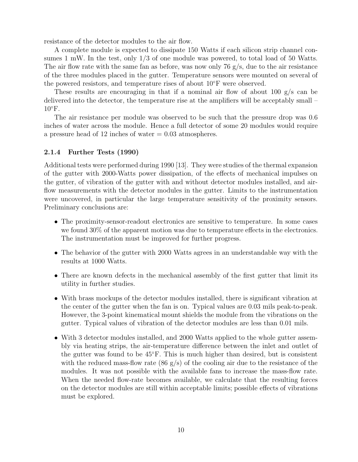resistance of the detector modules to the air flow.

A complete module is expected to dissipate 150 Watts if each silicon strip channel consumes 1 mW. In the test, only  $1/3$  of one module was powered, to total load of 50 Watts. The air flow rate with the same fan as before, was now only 76  $g/s$ , due to the air resistance of the three modules placed in the gutter. Temperature sensors were mounted on several of the powered resistors, and temperature rises of about  $10°$ F were observed.

These results are encouraging in that if a nominal air flow of about 100  $g/s$  can be delivered into the detector, the temperature rise at the amplifiers will be acceptably small –  $10^{\circ}$ F.

The air resistance per module was observed to be such that the pressure drop was 0.6 inches of water across the module. Hence a full detector of some 20 modules would require a pressure head of 12 inches of water  $= 0.03$  atmospheres.

#### **2.1.4 Further Tests (1990)**

Additional tests were performed during 1990 [13]. They were studies of the thermal expansion of the gutter with 2000-Watts power dissipation, of the effects of mechanical impulses on the gutter, of vibration of the gutter with and without detector modules installed, and airflow measurements with the detector modules in the gutter. Limits to the instrumentation were uncovered, in particular the large temperature sensitivity of the proximity sensors. Preliminary conclusions are:

- The proximity-sensor-readout electronics are sensitive to temperature. In some cases we found 30% of the apparent motion was due to temperature effects in the electronics. The instrumentation must be improved for further progress.
- The behavior of the gutter with 2000 Watts agrees in an understandable way with the results at 1000 Watts.
- There are known defects in the mechanical assembly of the first gutter that limit its utility in further studies.
- With brass mockups of the detector modules installed, there is significant vibration at the center of the gutter when the fan is on. Typical values are 0.03 mils peak-to-peak. However, the 3-point kinematical mount shields the module from the vibrations on the gutter. Typical values of vibration of the detector modules are less than 0.01 mils.
- With 3 detector modules installed, and 2000 Watts applied to the whole gutter assembly via heating strips, the air-temperature difference between the inlet and outlet of the gutter was found to be  $45^{\circ}$ F. This is much higher than desired, but is consistent with the reduced mass-flow rate  $(86 \text{ g/s})$  of the cooling air due to the resistance of the modules. It was not possible with the available fans to increase the mass-flow rate. When the needed flow-rate becomes available, we calculate that the resulting forces on the detector modules are still within acceptable limits; possible effects of vibrations must be explored.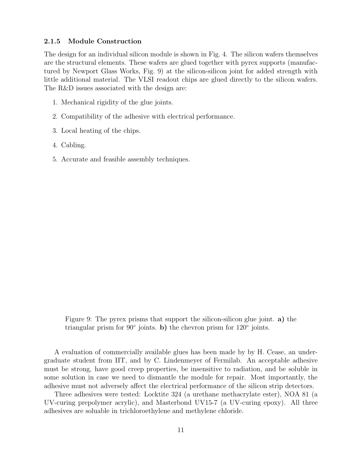#### **2.1.5 Module Construction**

The design for an individual silicon module is shown in Fig. 4. The silicon wafers themselves are the structural elements. These wafers are glued together with pyrex supports (manufactured by Newport Glass Works, Fig. 9) at the silicon-silicon joint for added strength with little additional material. The VLSI readout chips are glued directly to the silicon wafers. The R&D issues associated with the design are:

- 1. Mechanical rigidity of the glue joints.
- 2. Compatibility of the adhesive with electrical performance.
- 3. Local heating of the chips.
- 4. Cabling.
- 5. Accurate and feasible assembly techniques.

Figure 9: The pyrex prisms that support the silicon-silicon glue joint. **a)** the triangular prism for  $90°$  joints. **b**) the chevron prism for  $120°$  joints.

A evaluation of commercially available glues has been made by by H. Cease, an undergraduate student from IIT, and by C. Lindenmeyer of Fermilab. An acceptable adhesive must be strong, have good creep properties, be insensitive to radiation, and be soluble in some solution in case we need to dismantle the module for repair. Most importantly, the adhesive must not adversely affect the electrical performance of the silicon strip detectors.

Three adhesives were tested: Locktite 324 (a urethane methacrylate ester), NOA 81 (a UV-curing prepolymer acrylic), and Masterbond UV15-7 (a UV-curing epoxy). All three adhesives are soluable in trichloroethylene and methylene chloride.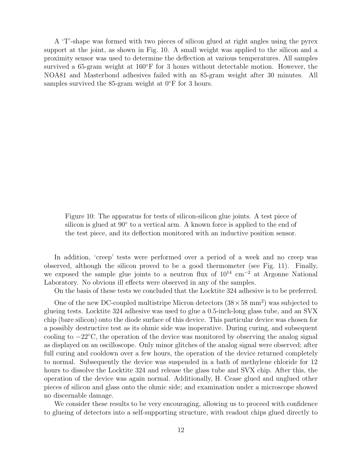A 'T'-shape was formed with two pieces of silicon glued at right angles using the pyrex support at the joint, as shown in Fig. 10. A small weight was applied to the silicon and a proximity sensor was used to determine the deflection at various temperatures. All samples survived a 65-gram weight at  $160°$ F for 3 hours without detectable motion. However, the NOA81 and Masterbond adhesives failed with an 85-gram weight after 30 minutes. All samples survived the 85-gram weight at  $0°$ F for 3 hours.

Figure 10: The apparatus for tests of silicon-silicon glue joints. A test piece of silicon is glued at 90◦ to a vertical arm. A known force is applied to the end of the test piece, and its deflection monitored with an inductive position sensor.

In addition, 'creep' tests were performed over a period of a week and no creep was observed, although the silicon proved to be a good thermometer (see Fig. 11). Finally, we exposed the sample glue joints to a neutron flux of 10<sup>14</sup> cm−<sup>2</sup> at Argonne National Laboratory. No obvious ill effects were observed in any of the samples.

On the basis of these tests we concluded that the Locktite 324 adhesive is to be preferred.

One of the new DC-coupled multistripe Micron detectors  $(38 \times 58 \text{ mm}^2)$  was subjected to glueing tests. Locktite 324 adhesive was used to glue a 0.5-inch-long glass tube, and an SVX chip (bare silicon) onto the diode surface of this device. This particular device was chosen for a possibly destructive test as its ohmic side was inoperative. During curing, and subsequent cooling to  $-22$ °C, the operation of the device was monitored by observing the analog signal as displayed on an oscilloscope. Only minor glitches of the analog signal were observed; after full curing and cooldown over a few hours, the operation of the device returned completely to normal. Subsequently the device was suspended in a bath of methylene chloride for 12 hours to dissolve the Locktite 324 and release the glass tube and SVX chip. After this, the operation of the device was again normal. Additionally, H. Cease glued and unglued other pieces of silicon and glass onto the ohmic side; and examination under a microscope showed no discernable damage.

We consider these results to be very encouraging, allowing us to proceed with confidence to glueing of detectors into a self-supporting structure, with readout chips glued directly to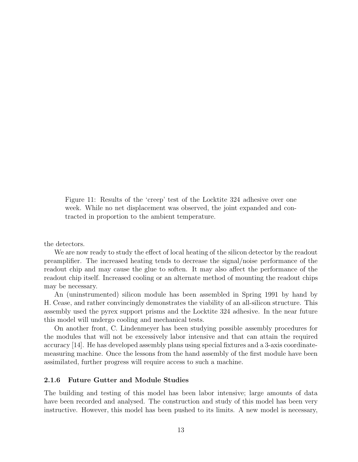Figure 11: Results of the 'creep' test of the Locktite 324 adhesive over one week. While no net displacement was observed, the joint expanded and contracted in proportion to the ambient temperature.

the detectors.

We are now ready to study the effect of local heating of the silicon detector by the readout preamplifier. The increased heating tends to decrease the signal/noise performance of the readout chip and may cause the glue to soften. It may also affect the performance of the readout chip itself. Increased cooling or an alternate method of mounting the readout chips may be necessary.

An (uninstrumented) silicon module has been assembled in Spring 1991 by hand by H. Cease, and rather convincingly demonstrates the viability of an all-silicon structure. This assembly used the pyrex support prisms and the Locktite 324 adhesive. In the near future this model will undergo cooling and mechanical tests.

On another front, C. Lindenmeyer has been studying possible assembly procedures for the modules that will not be excessively labor intensive and that can attain the required accuracy [14]. He has developed assembly plans using special fixtures and a 3-axis coordinatemeasuring machine. Once the lessons from the hand assembly of the first module have been assimilated, further progress will require access to such a machine.

#### **2.1.6 Future Gutter and Module Studies**

The building and testing of this model has been labor intensive; large amounts of data have been recorded and analysed. The construction and study of this model has been very instructive. However, this model has been pushed to its limits. A new model is necessary,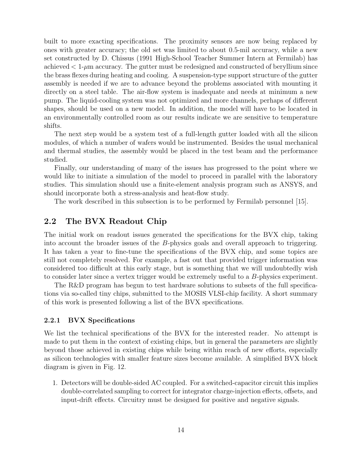built to more exacting specifications. The proximity sensors are now being replaced by ones with greater accuracy; the old set was limited to about 0.5-mil accuracy, while a new set constructed by D. Chissus (1991 High-School Teacher Summer Intern at Fermilab) has achieved  $\lt 1$ - $\mu$ m accuracy. The gutter must be redesigned and constructed of beryllium since the brass flexes during heating and cooling. A suspension-type support structure of the gutter assembly is needed if we are to advance beyond the problems associated with mounting it directly on a steel table. The air-flow system is inadequate and needs at minimum a new pump. The liquid-cooling system was not optimized and more channels, perhaps of different shapes, should be used on a new model. In addition, the model will have to be located in an environmentally controlled room as our results indicate we are sensitive to temperature shifts.

The next step would be a system test of a full-length gutter loaded with all the silicon modules, of which a number of wafers would be instrumented. Besides the usual mechanical and thermal studies, the assembly would be placed in the test beam and the performance studied.

Finally, our understanding of many of the issues has progressed to the point where we would like to initiate a simulation of the model to proceed in parallel with the laboratory studies. This simulation should use a finite-element analysis program such as ANSYS, and should incorporate both a stress-analysis and heat-flow study.

The work described in this subsection is to be performed by Fermilab personnel [15].

### **2.2 The BVX Readout Chip**

The initial work on readout issues generated the specifications for the BVX chip, taking into account the broader issues of the B-physics goals and overall approach to triggering. It has taken a year to fine-tune the specifications of the BVX chip, and some topics are still not completely resolved. For example, a fast out that provided trigger information was considered too difficult at this early stage, but is something that we will undoubtedly wish to consider later since a vertex trigger would be extremely useful to a B-physics experiment.

The R&D program has begun to test hardware solutions to subsets of the full specifications via so-called tiny chips, submitted to the MOSIS VLSI-chip facility. A short summary of this work is presented following a list of the BVX specifications.

#### **2.2.1 BVX Specifications**

We list the technical specifications of the BVX for the interested reader. No attempt is made to put them in the context of existing chips, but in general the parameters are slightly beyond those achieved in existing chips while being within reach of new efforts, especially as silicon technologies with smaller feature sizes become available. A simplified BVX block diagram is given in Fig. 12.

1. Detectors will be double-sided AC coupled. For a switched-capacitor circuit this implies double-correlated sampling to correct for integrator charge-injection effects, offsets, and input-drift effects. Circuitry must be designed for positive and negative signals.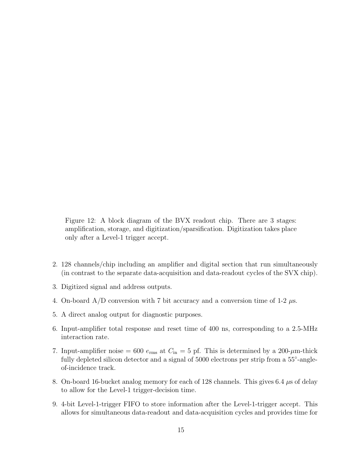Figure 12: A block diagram of the BVX readout chip. There are 3 stages: amplification, storage, and digitization/sparsification. Digitization takes place only after a Level-1 trigger accept.

- 2. 128 channels/chip including an amplifier and digital section that run simultaneously (in contrast to the separate data-acquisition and data-readout cycles of the SVX chip).
- 3. Digitized signal and address outputs.
- 4. On-board  $A/D$  conversion with 7 bit accuracy and a conversion time of 1-2  $\mu$ s.
- 5. A direct analog output for diagnostic purposes.
- 6. Input-amplifier total response and reset time of 400 ns, corresponding to a 2.5-MHz interaction rate.
- 7. Input-amplifier noise = 600  $e_{\text{rms}}$  at  $C_{\text{in}} = 5$  pf. This is determined by a 200- $\mu$ m-thick fully depleted silicon detector and a signal of 5000 electrons per strip from a 55<sup>°</sup>-angleof-incidence track.
- 8. On-board 16-bucket analog memory for each of 128 channels. This gives 6.4  $\mu$ s of delay to allow for the Level-1 trigger-decision time.
- 9. 4-bit Level-1-trigger FIFO to store information after the Level-1-trigger accept. This allows for simultaneous data-readout and data-acquisition cycles and provides time for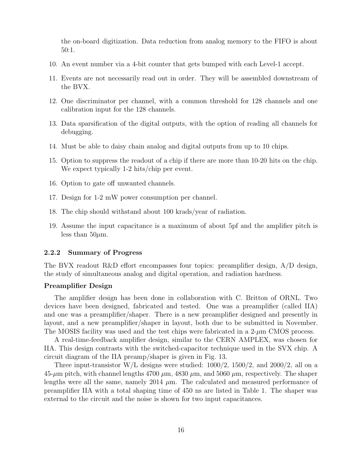the on-board digitization. Data reduction from analog memory to the FIFO is about 50:1.

- 10. An event number via a 4-bit counter that gets bumped with each Level-1 accept.
- 11. Events are not necessarily read out in order. They will be assembled downstream of the BVX.
- 12. One discriminator per channel, with a common threshold for 128 channels and one calibration input for the 128 channels.
- 13. Data sparsification of the digital outputs, with the option of reading all channels for debugging.
- 14. Must be able to daisy chain analog and digital outputs from up to 10 chips.
- 15. Option to suppress the readout of a chip if there are more than 10-20 hits on the chip. We expect typically 1-2 hits/chip per event.
- 16. Option to gate off unwanted channels.
- 17. Design for 1-2 mW power consumption per channel.
- 18. The chip should withstand about 100 krads/year of radiation.
- 19. Assume the input capacitance is a maximum of about 5pf and the amplifier pitch is less than  $50 \mu m$ .

#### **2.2.2 Summary of Progress**

The BVX readout R&D effort encompasses four topics: preamplifier design, A/D design, the study of simultaneous analog and digital operation, and radiation hardness.

#### **Preamplifier Design**

The amplifier design has been done in collaboration with C. Britton of ORNL. Two devices have been designed, fabricated and tested. One was a preamplifier (called IIA) and one was a preamplifier/shaper. There is a new preamplifier designed and presently in layout, and a new preamplifier/shaper in layout, both due to be submitted in November. The MOSIS facility was used and the test chips were fabricated in a 2-μm CMOS process.

A real-time-feedback amplifier design, similar to the CERN AMPLEX, was chosen for IIA. This design contrasts with the switched-capacitor technique used in the SVX chip. A circuit diagram of the IIA preamp/shaper is given in Fig. 13.

Three input-transistor W/L designs were studied:  $1000/2$ ,  $1500/2$ , and  $2000/2$ , all on a  $45-\mu m$  pitch, with channel lengths 4700  $\mu$ m, 4830  $\mu$ m, and 5060  $\mu$ m, respectively. The shaper lengths were all the same, namely 2014  $\mu$ m. The calculated and measured performance of preamplifier IIA with a total shaping time of 450 ns are listed in Table 1. The shaper was external to the circuit and the noise is shown for two input capacitances.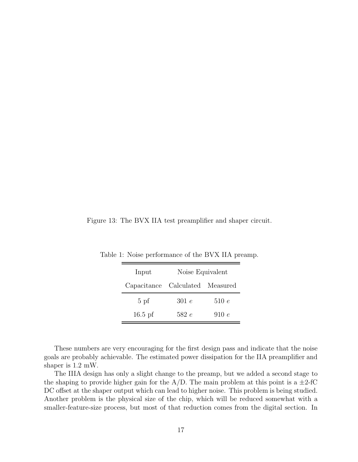Figure 13: The BVX IIA test preamplifier and shaper circuit.

| Input                           | Noise Equivalent |       |  |
|---------------------------------|------------------|-------|--|
| Capacitance Calculated Measured |                  |       |  |
| $5$ pf                          | 301 e            | 510 e |  |
| $16.5$ pf                       | 582 e            | 910 e |  |

Table 1: Noise performance of the BVX IIA preamp.

These numbers are very encouraging for the first design pass and indicate that the noise goals are probably achievable. The estimated power dissipation for the IIA preamplifier and shaper is 1.2 mW.

The IIIA design has only a slight change to the preamp, but we added a second stage to the shaping to provide higher gain for the A/D. The main problem at this point is a  $\pm 2$ -fC DC offset at the shaper output which can lead to higher noise. This problem is being studied. Another problem is the physical size of the chip, which will be reduced somewhat with a smaller-feature-size process, but most of that reduction comes from the digital section. In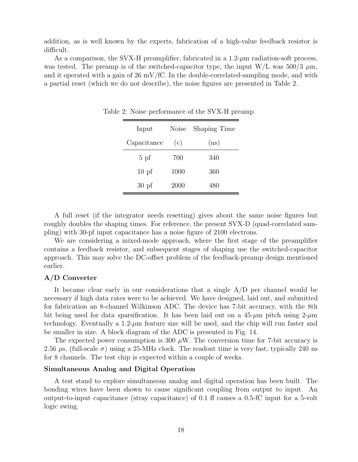addition, as is well known by the experts, fabrication of a high-value feedback resistor is difficult.

As a comparison, the SVX-H preamplifier, fabricated in a  $1.2$ - $\mu$ m radiation-soft process, was tested. The preamp is of the switched-capacitor type, the input  $W/L$  was 500/3  $\mu$ m, and it operated with a gain of  $26 \text{ mV/fC}$ . In the double-correlated-sampling mode, and with a partial reset (which we do not describe), the noise figures are presented in Table 2.

| Input            | <b>Noise</b> | <b>Shaping Time</b> |
|------------------|--------------|---------------------|
| Capacitance      | (e)          | (ns)                |
| $5$ pf           | 700          | 340                 |
| 10 <sub>pf</sub> | 1000         | 360                 |
| 30 <sub>pf</sub> | 2000         | 480                 |

Table 2: Noise performance of the SVX-H preamp.

A full reset (if the integrator needs resetting) gives about the same noise figures but roughly doubles the shaping times. For reference, the present SVX-D (quad-correlated sampling) with 30-pf input capacitance has a noise figure of 2100 electrons.

We are considering a mixed-mode approach, where the first stage of the preamplifier contains a feedback resistor, and subsequent stages of shaping use the switched-capacitor approach. This may solve the DC-offset problem of the feedback-preamp design mentioned earlier.

#### **A/D Converter**

It became clear early in our considerations that a single A/D per channel would be necessary if high data rates were to be achieved. We have designed, laid out, and submitted for fabrication an 8-channel Wilkinson ADC. The device has 7-bit accuracy, with the 8th bit being used for data sparsification. It has been laid out on a  $45-\mu m$  pitch using  $2-\mu m$ technology. Eventually a  $1.2$ - $\mu$ m feature size will be used, and the chip will run faster and be smaller in size. A block diagram of the ADC is presented in Fig. 14.

The expected power consumption is 300  $\mu$ W. The conversion time for 7-bit accuracy is 2.56 μs, (full-scale  $\sigma$ ) using a 25-MHz clock. The readout time is very fast, typically 240 ns for 8 channels. The test chip is expected within a couple of weeks.

#### **Simultaneous Analog and Digital Operation**

A test stand to explore simultaneous analog and digital operation has been built. The bonding wires have been shown to cause significant coupling from output to input. An output-to-input capacitance (stray capacitance) of 0.1 ff causes a 0.5-fC input for a 5-volt logic swing.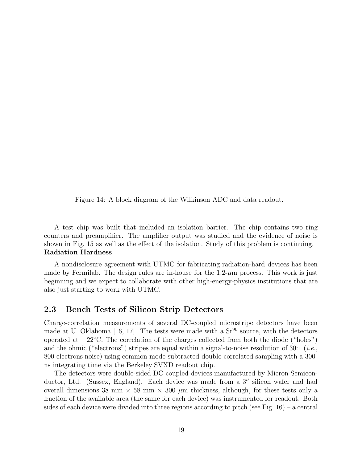Figure 14: A block diagram of the Wilkinson ADC and data readout.

A test chip was built that included an isolation barrier. The chip contains two ring counters and preamplifier. The amplifier output was studied and the evidence of noise is shown in Fig. 15 as well as the effect of the isolation. Study of this problem is continuing. **Radiation Hardness**

A nondisclosure agreement with UTMC for fabricating radiation-hard devices has been made by Fermilab. The design rules are in-house for the  $1.2$ - $\mu$ m process. This work is just beginning and we expect to collaborate with other high-energy-physics institutions that are also just starting to work with UTMC.

### **2.3 Bench Tests of Silicon Strip Detectors**

Charge-correlation measurements of several DC-coupled microstripe detectors have been made at U. Oklahoma [16, 17]. The tests were made with a  $Sr^{90}$  source, with the detectors operated at −22◦C. The correlation of the charges collected from both the diode ("holes") and the ohmic ("electrons") stripes are equal within a signal-to-noise resolution of 30:1 (*i.e.*, 800 electrons noise) using common-mode-subtracted double-correlated sampling with a 300 ns integrating time via the Berkeley SVXD readout chip.

The detectors were double-sided DC coupled devices manufactured by Micron Semiconductor, Ltd. (Sussex, England). Each device was made from a  $3''$  silicon wafer and had overall dimensions 38 mm  $\times$  58 mm  $\times$  300  $\mu$ m thickness, although, for these tests only a fraction of the available area (the same for each device) was instrumented for readout. Both sides of each device were divided into three regions according to pitch (see Fig. 16) – a central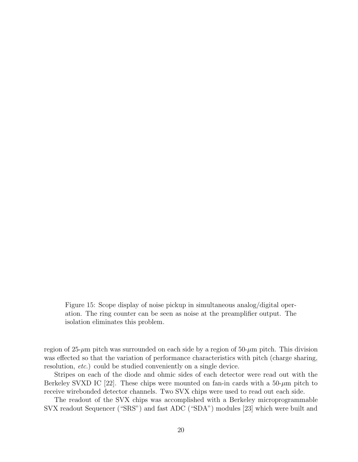Figure 15: Scope display of noise pickup in simultaneous analog/digital operation. The ring counter can be seen as noise at the preamplifier output. The isolation eliminates this problem.

region of  $25-\mu m$  pitch was surrounded on each side by a region of  $50-\mu m$  pitch. This division was effected so that the variation of performance characteristics with pitch (charge sharing, resolution, *etc.*) could be studied conveniently on a single device.

Stripes on each of the diode and ohmic sides of each detector were read out with the Berkeley SVXD IC [22]. These chips were mounted on fan-in cards with a  $50-\mu m$  pitch to receive wirebonded detector channels. Two SVX chips were used to read out each side.

The readout of the SVX chips was accomplished with a Berkeley microprogrammable SVX readout Sequencer ("SRS") and fast ADC ("SDA") modules [23] which were built and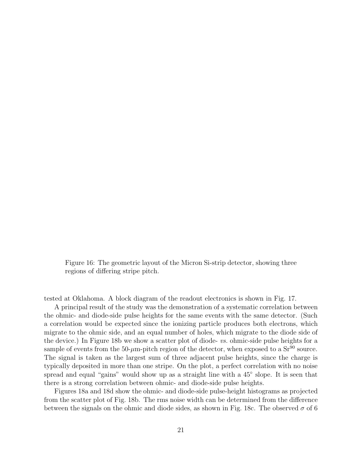Figure 16: The geometric layout of the Micron Si-strip detector, showing three regions of differing stripe pitch.

tested at Oklahoma. A block diagram of the readout electronics is shown in Fig. 17.

A principal result of the study was the demonstration of a systematic correlation between the ohmic- and diode-side pulse heights for the same events with the same detector. (Such a correlation would be expected since the ionizing particle produces both electrons, which migrate to the ohmic side, and an equal number of holes, which migrate to the diode side of the device.) In Figure 18b we show a scatter plot of diode- *vs.* ohmic-side pulse heights for a sample of events from the 50- $\mu$ m-pitch region of the detector, when exposed to a Sr<sup>90</sup> source. The signal is taken as the largest sum of three adjacent pulse heights, since the charge is typically deposited in more than one stripe. On the plot, a perfect correlation with no noise spread and equal "gains" would show up as a straight line with a 45° slope. It is seen that there is a strong correlation between ohmic- and diode-side pulse heights.

Figures 18a and 18d show the ohmic- and diode-side pulse-height histograms as projected from the scatter plot of Fig. 18b. The rms noise width can be determined from the difference between the signals on the ohmic and diode sides, as shown in Fig. 18c. The observed  $\sigma$  of 6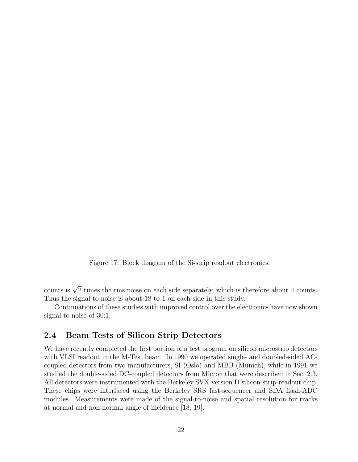Figure 17: Block diagram of the Si-strip readout electronics.

counts is  $\sqrt{2}$  times the rms noise on each side separately, which is therefore about 4 counts. Thus the signal-to-noise is about 18 to 1 on each side in this study.

Continuations of these studies with improved control over the electronics have now shown signal-to-noise of 30:1.

### **2.4 Beam Tests of Silicon Strip Detectors**

We have recently completed the first portion of a test program on silicon microstrip detectors with VLSI readout in the M-Test beam. In 1990 we operated single- and doubled-sided ACcoupled detectors from two manufacturers, SI (Oslo) and MBB (Munich), while in 1991 we studied the double-sided DC-coupled detectors from Micron that were described in Sec. 2.3. All detectors were instrumented with the Berkeley SVX version D silicon-strip-readout chip. These chips were interfaced using the Berkeley SRS fast-sequencer and SDA flash-ADC modules. Measurements were made of the signal-to-noise and spatial resolution for tracks at normal and non-normal angle of incidence [18, 19].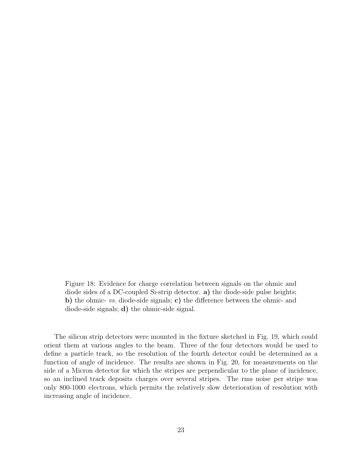Figure 18: Evidence for charge correlation between signals on the ohmic and diode sides of a DC-coupled Si-strip detector. **a)** the diode-side pulse heights; **b)** the ohmic- *vs.* diode-side signals; **c)** the difference between the ohmic- and diode-side signals; **d)** the ohmic-side signal.

The silicon strip detectors were mounted in the fixture sketched in Fig. 19, which could orient them at various angles to the beam. Three of the four detectors would be used to define a particle track, so the resolution of the fourth detector could be determined as a function of angle of incidence. The results are shown in Fig. 20, for measurements on the side of a Micron detector for which the stripes are perpendicular to the plane of incidence, so an inclined track deposits charges over several stripes. The rms noise per stripe was only 800-1000 electrons, which permits the relatively slow deterioration of resolution with increasing angle of incidence.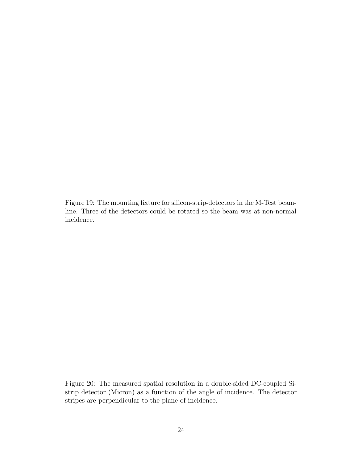Figure 19: The mounting fixture for silicon-strip-detectors in the M-Test beamline. Three of the detectors could be rotated so the beam was at non-normal incidence.

Figure 20: The measured spatial resolution in a double-sided DC-coupled Sistrip detector (Micron) as a function of the angle of incidence. The detector stripes are perpendicular to the plane of incidence.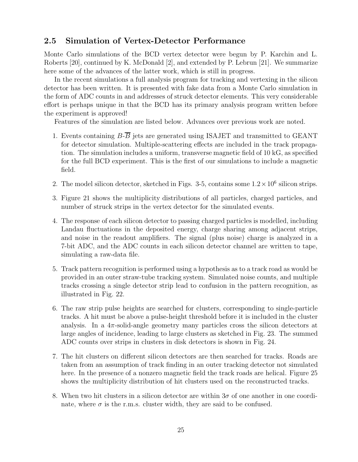### **2.5 Simulation of Vertex-Detector Performance**

Monte Carlo simulations of the BCD vertex detector were begun by P. Karchin and L. Roberts [20], continued by K. McDonald [2], and extended by P. Lebrun [21]. We summarize here some of the advances of the latter work, which is still in progress.

In the recent simulations a full analysis program for tracking and vertexing in the silicon detector has been written. It is presented with fake data from a Monte Carlo simulation in the form of ADC counts in and addresses of struck detector elements. This very considerable effort is perhaps unique in that the BCD has its primary analysis program written before the experiment is approved!

Features of the simulation are listed below. Advances over previous work are noted.

- 1. Events containing  $B-\overline{B}$  jets are generated using ISAJET and transmitted to GEANT for detector simulation. Multiple-scattering effects are included in the track propagation. The simulation includes a uniform, transverse magnetic field of 10 kG, as specified for the full BCD experiment. This is the first of our simulations to include a magnetic field.
- 2. The model silicon detector, sketched in Figs. 3-5, contains some  $1.2 \times 10^6$  silicon strips.
- 3. Figure 21 shows the multiplicity distributions of all particles, charged particles, and number of struck strips in the vertex detector for the simulated events.
- 4. The response of each silicon detector to passing charged particles is modelled, including Landau fluctuations in the deposited energy, charge sharing among adjacent strips, and noise in the readout amplifiers. The signal (plus noise) charge is analyzed in a 7-bit ADC, and the ADC counts in each silicon detector channel are written to tape, simulating a raw-data file.
- 5. Track pattern recognition is performed using a hypothesis as to a track road as would be provided in an outer straw-tube tracking system. Simulated noise counts, and multiple tracks crossing a single detector strip lead to confusion in the pattern recognition, as illustrated in Fig. 22.
- 6. The raw strip pulse heights are searched for clusters, corresponding to single-particle tracks. A hit must be above a pulse-height threshold before it is included in the cluster analysis. In a  $4\pi$ -solid-angle geometry many particles cross the silicon detectors at large angles of incidence, leading to large clusters as sketched in Fig. 23. The summed ADC counts over strips in clusters in disk detectors is shown in Fig. 24.
- 7. The hit clusters on different silicon detectors are then searched for tracks. Roads are taken from an assumption of track finding in an outer tracking detector not simulated here. In the presence of a nonzero magnetic field the track roads are helical. Figure 25 shows the multiplicity distribution of hit clusters used on the reconstructed tracks.
- 8. When two hit clusters in a silicon detector are within  $3\sigma$  of one another in one coordinate, where  $\sigma$  is the r.m.s. cluster width, they are said to be confused.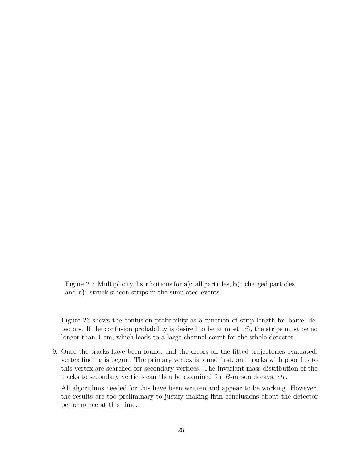Figure 21: Multiplicity distributions for **a)**: all particles, **b)**: charged particles, and **c)**: struck silicon strips in the simulated events.

Figure 26 shows the confusion probability as a function of strip length for barrel detectors. If the confusion probability is desired to be at most 1%, the strips must be no longer than 1 cm, which leads to a large channel count for the whole detector.

9. Once the tracks have been found, and the errors on the fitted trajectories evaluated, vertex finding is begun. The primary vertex is found first, and tracks with poor fits to this vertex are searched for secondary vertices. The invariant-mass distribution of the tracks to secondary vertices can then be examined for B-meson decays, *etc.*

All algorithms needed for this have been written and appear to be working. However, the results are too preliminary to justify making firm conclusions about the detector performance at this time.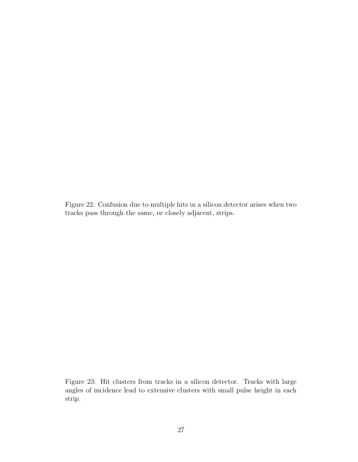Figure 22: Confusion due to multiple hits in a silicon detector arises when two tracks pass through the same, or closely adjacent, strips.

Figure 23: Hit clusters from tracks in a silicon detector. Tracks with large angles of incidence lead to extensive clusters with small pulse height in each strip.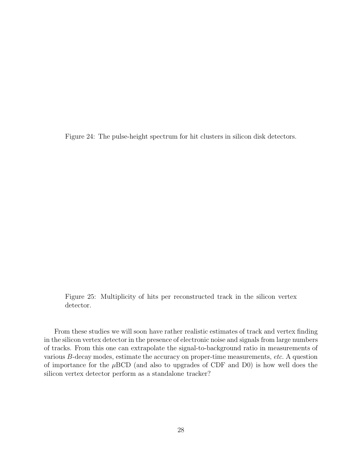Figure 24: The pulse-height spectrum for hit clusters in silicon disk detectors.

Figure 25: Multiplicity of hits per reconstructed track in the silicon vertex detector.

From these studies we will soon have rather realistic estimates of track and vertex finding in the silicon vertex detector in the presence of electronic noise and signals from large numbers of tracks. From this one can extrapolate the signal-to-background ratio in measurements of various B-decay modes, estimate the accuracy on proper-time measurements, *etc.* A question of importance for the  $\mu$ BCD (and also to upgrades of CDF and D0) is how well does the silicon vertex detector perform as a standalone tracker?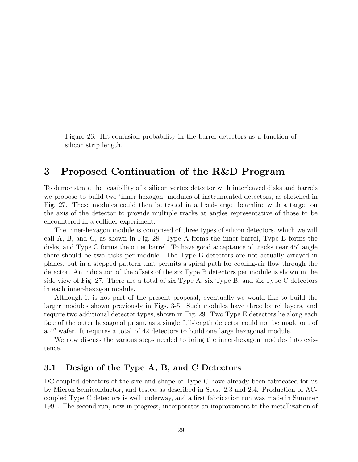Figure 26: Hit-confusion probability in the barrel detectors as a function of silicon strip length.

## **3 Proposed Continuation of the R&D Program**

To demonstrate the feasibility of a silicon vertex detector with interleaved disks and barrels we propose to build two 'inner-hexagon' modules of instrumented detectors, as sketched in Fig. 27. These modules could then be tested in a fixed-target beamline with a target on the axis of the detector to provide multiple tracks at angles representative of those to be encountered in a collider experiment.

The inner-hexagon module is comprised of three types of silicon detectors, which we will call A, B, and C, as shown in Fig. 28. Type A forms the inner barrel, Type B forms the disks, and Type C forms the outer barrel. To have good acceptance of tracks near 45◦ angle there should be two disks per module. The Type B detectors are not actually arrayed in planes, but in a stepped pattern that permits a spiral path for cooling-air flow through the detector. An indication of the offsets of the six Type B detectors per module is shown in the side view of Fig. 27. There are a total of six Type A, six Type B, and six Type C detectors in each inner-hexagon module.

Although it is not part of the present proposal, eventually we would like to build the larger modules shown previously in Figs. 3-5. Such modules have three barrel layers, and require two additional detector types, shown in Fig. 29. Two Type E detectors lie along each face of the outer hexagonal prism, as a single full-length detector could not be made out of a 4" wafer. It requires a total of 42 detectors to build one large hexagonal module.

We now discuss the various steps needed to bring the inner-hexagon modules into existence.

### **3.1 Design of the Type A, B, and C Detectors**

DC-coupled detectors of the size and shape of Type C have already been fabricated for us by Micron Semiconductor, and tested as described in Secs. 2.3 and 2.4. Production of ACcoupled Type C detectors is well underway, and a first fabrication run was made in Summer 1991. The second run, now in progress, incorporates an improvement to the metallization of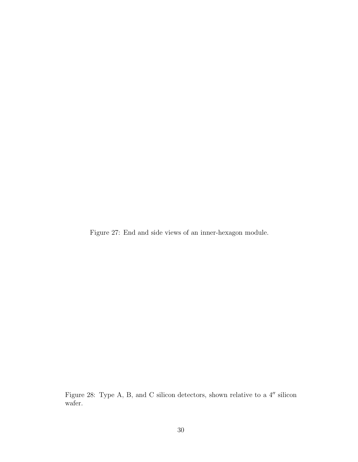Figure 27: End and side views of an inner-hexagon module.

Figure 28: Type A, B, and C silicon detectors, shown relative to a  $4''$  silicon wafer.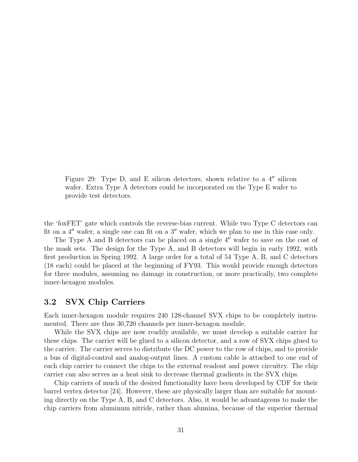Figure 29: Type D, and E silicon detectors, shown relative to a  $4''$  silicon wafer. Extra Type A detectors could be incorporated on the Type E wafer to provide test detectors.

the 'foxFET' gate which controls the reverse-bias current. While two Type C detectors can fit on a  $4''$  wafer, a single one can fit on a  $3''$  wafer, which we plan to use in this case only.

The Type A and B detectors can be placed on a single 4" wafer to save on the cost of the mask sets. The design for the Type A, and B detectors will begin in early 1992, with first production in Spring 1992. A large order for a total of 54 Type A, B, and C detectors (18 each) could be placed at the beginning of FY93. This would provide enough detectors for three modules, assuming no damage in construction, or more practically, two complete inner-hexagon modules.

#### **3.2 SVX Chip Carriers**

Each inner-hexagon module requires 240 128-channel SVX chips to be completely instrumented. There are thus 30,720 channels per inner-hexagon module.

While the SVX chips are now readily available, we must develop a suitable carrier for these chips. The carrier will be glued to a silicon detector, and a row of SVX chips glued to the carrier. The carrier serves to distribute the DC power to the row of chips, and to provide a bus of digital-control and analog-output lines. A custom cable is attached to one end of each chip carrier to connect the chips to the external readout and power circuitry. The chip carrier can also serves as a heat sink to decrease thermal gradients in the SVX chips.

Chip carriers of much of the desired functionality have been developed by CDF for their barrel vertex detector [24]. However, these are physically larger than are suitable for mounting directly on the Type A, B, and C detectors. Also, it would be advantageous to make the chip carriers from aluminum nitride, rather than alumina, because of the superior thermal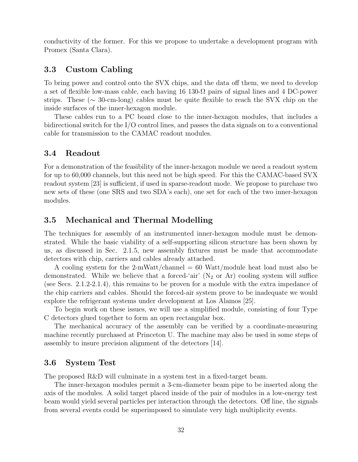conductivity of the former. For this we propose to undertake a development program with Promex (Santa Clara).

### **3.3 Custom Cabling**

To bring power and control onto the SVX chips, and the data off them, we need to develop a set of flexible low-mass cable, each having 16 130- $\Omega$  pairs of signal lines and 4 DC-power strips. These (∼ 30-cm-long) cables must be quite flexible to reach the SVX chip on the inside surfaces of the inner-hexagon module.

These cables run to a PC board close to the inner-hexagon modules, that includes a bidirectional switch for the I/O control lines, and passes the data signals on to a conventional cable for transmission to the CAMAC readout modules.

### **3.4 Readout**

For a demonstration of the feasibility of the inner-hexagon module we need a readout system for up to 60,000 channels, but this need not be high speed. For this the CAMAC-based SVX readout system [23] is sufficient, if used in sparse-readout mode. We propose to purchase two new sets of these (one SRS and two SDA's each), one set for each of the two inner-hexagon modules.

### **3.5 Mechanical and Thermal Modelling**

The techniques for assembly of an instrumented inner-hexagon module must be demonstrated. While the basic viability of a self-supporting silicon structure has been shown by us, as discussed in Sec. 2.1.5, new assembly fixtures must be made that accommodate detectors with chip, carriers and cables already attached.

A cooling system for the 2-mWatt/channel  $= 60$  Watt/module heat load must also be demonstrated. While we believe that a forced-'air'  $(N_2 \text{ or } Ar)$  cooling system will suffice (see Secs. 2.1.2-2.1.4), this remains to be proven for a module with the extra impedance of the chip carriers and cables. Should the forced-air system prove to be inadequate we would explore the refrigerant systems under development at Los Alamos [25].

To begin work on these issues, we will use a simplified module, consisting of four Type C detectors glued together to form an open rectangular box.

The mechanical accuracy of the assembly can be verified by a coordinate-measuring machine recently purchased at Princeton U. The machine may also be used in some steps of assembly to insure precision alignment of the detectors [14].

### **3.6 System Test**

The proposed R&D will culminate in a system test in a fixed-target beam.

The inner-hexagon modules permit a 3-cm-diameter beam pipe to be inserted along the axis of the modules. A solid target placed inside of the pair of modules in a low-energy test beam would yield several particles per interaction through the detectors. Off line, the signals from several events could be superimposed to simulate very high multiplicity events.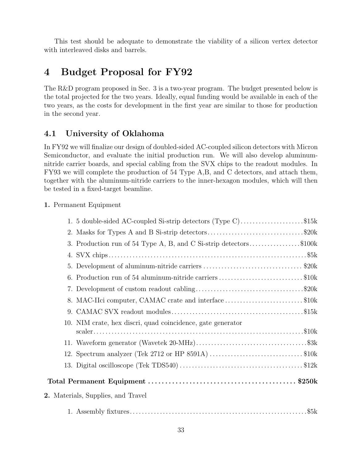This test should be adequate to demonstrate the viability of a silicon vertex detector with interleaved disks and barrels.

## **4 Budget Proposal for FY92**

The R&D program proposed in Sec. 3 is a two-year program. The budget presented below is the total projected for the two years. Ideally, equal funding would be available in each of the two years, as the costs for development in the first year are similar to those for production in the second year.

## **4.1 University of Oklahoma**

In FY92 we will finalize our design of doubled-sided AC-coupled silicon detectors with Micron Semiconductor, and evaluate the initial production run. We will also develop aluminumnitride carrier boards, and special cabling from the SVX chips to the readout modules. In FY93 we will complete the production of 54 Type A,B, and C detectors, and attach them, together with the aluminum-nitride carriers to the inner-hexagon modules, which will then be tested in a fixed-target beamline.

#### **1.** Permanent Equipment

| 1. 5 double-sided AC-coupled Si-strip detectors (Type C)\$15k     |  |
|-------------------------------------------------------------------|--|
| 2. Masks for Types A and B Si-strip detectors\$20k                |  |
| 3. Production run of 54 Type A, B, and C Si-strip detectors\$100k |  |
|                                                                   |  |
| 5. Development of aluminum-nitride carriers \$20k                 |  |
| 6. Production run of 54 aluminum-nitride carriers\$10k            |  |
|                                                                   |  |
| 8. MAC-IIci computer, CAMAC crate and interface \$10k             |  |
|                                                                   |  |
| 10. NIM crate, hex discri, quad coincidence, gate generator       |  |
|                                                                   |  |
| 12. Spectrum analyzer (Tek 2712 or HP $8591A)$ \$10k              |  |
|                                                                   |  |
|                                                                   |  |
| 2. Materials, Supplies, and Travel                                |  |
|                                                                   |  |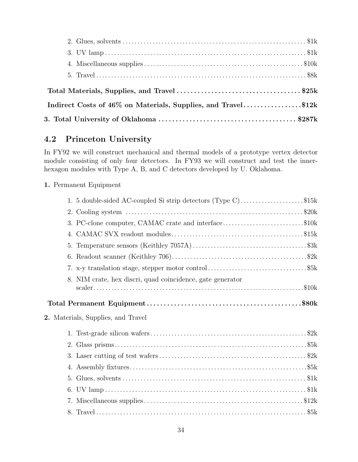| Indirect Costs of 46% on Materials, Supplies, and Travel\$12k |  |
|---------------------------------------------------------------|--|
|                                                               |  |

## **4.2 Princeton University**

In FY92 we will construct mechanical and thermal models of a prototype vertex detector module consisting of only four detectors. In FY93 we will construct and test the innerhexagon modules with Type A, B, and C detectors developed by U. Oklahoma.

### **1.** Permanent Equipment

| 1. 5 double-sided AC-coupled Si strip detectors (Type C)\$15k |
|---------------------------------------------------------------|
|                                                               |
| 3. PC-clone computer, CAMAC crate and interface\$10k          |
|                                                               |
|                                                               |
|                                                               |
|                                                               |
| 8. NIM crate, hex discri, quad coincidence, gate generator    |
|                                                               |
| 2. Materials, Supplies, and Travel                            |
|                                                               |
|                                                               |
|                                                               |
|                                                               |
|                                                               |
|                                                               |
|                                                               |
|                                                               |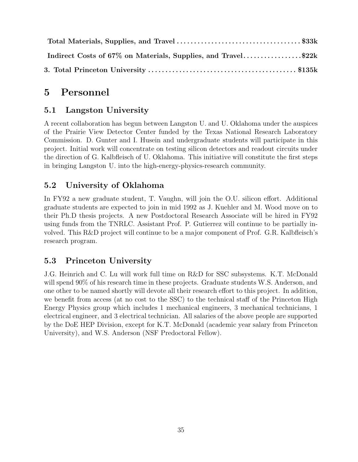| Indirect Costs of 67% on Materials, Supplies, and Travel\$22k |
|---------------------------------------------------------------|
|                                                               |

## **5 Personnel**

## **5.1 Langston University**

A recent collaboration has begun between Langston U. and U. Oklahoma under the auspices of the Prairie View Detector Center funded by the Texas National Research Laboratory Commission. D. Gunter and I. Husein and undergraduate students will participate in this project. Initial work will concentrate on testing silicon detectors and readout circuits under the direction of G. Kalbfleisch of U. Oklahoma. This initiative will constitute the first steps in bringing Langston U. into the high-energy-physics-research community.

## **5.2 University of Oklahoma**

In FY92 a new graduate student, T. Vaughn, will join the O.U. silicon effort. Additional graduate students are expected to join in mid 1992 as J. Kuehler and M. Wood move on to their Ph.D thesis projects. A new Postdoctoral Research Associate will be hired in FY92 using funds from the TNRLC. Assistant Prof. P. Gutierrez will continue to be partially involved. This R&D project will continue to be a major component of Prof. G.R. Kalbfleisch's research program.

## **5.3 Princeton University**

J.G. Heinrich and C. Lu will work full time on R&D for SSC subsystems. K.T. McDonald will spend 90% of his research time in these projects. Graduate students W.S. Anderson, and one other to be named shortly will devote all their research effort to this project. In addition, we benefit from access (at no cost to the SSC) to the technical staff of the Princeton High Energy Physics group which includes 1 mechanical engineers, 3 mechanical technicians, 1 electrical engineer, and 3 electrical technician. All salaries of the above people are supported by the DoE HEP Division, except for K.T. McDonald (academic year salary from Princeton University), and W.S. Anderson (NSF Predoctoral Fellow).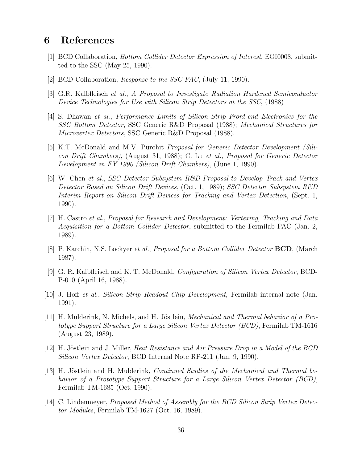## **6 References**

- [1] BCD Collaboration, *Bottom Collider Detector Expression of Interest*, EOI0008, submitted to the SSC (May 25, 1990).
- [2] BCD Collaboration, *Response to the SSC PAC*, (July 11, 1990).
- [3] G.R. Kalbfleisch *et al.*, *A Proposal to Investigate Radiation Hardened Semiconductor Device Technologies for Use with Silicon Strip Detectors at the SSC*, (1988)
- [4] S. Dhawan *et al.*, *Performance Limits of Silicon Strip Front-end Electronics for the SSC Bottom Detector*, SSC Generic R&D Proposal (1988); *Mechanical Structures for Microvertex Detectors*, SSC Generic R&D Proposal (1988).
- [5] K.T. McDonald and M.V. Purohit *Proposal for Generic Detector Development (Silicon Drift Chambers)*, (August 31, 1988); C. Lu *et al.*, *Proposal for Generic Detector Development in FY 1990 (Silicon Drift Chambers)*, (June 1, 1990).
- [6] W. Chen *et al.*, *SSC Detector Subsystem R&D Proposal to Develop Track and Vertex Detector Based on Silicon Drift Devices*, (Oct. 1, 1989); *SSC Detector Subsystem R&D Interim Report on Silicon Drift Devices for Tracking and Vertex Detection*, (Sept. 1, 1990).
- [7] H. Castro *et al.*, *Proposal for Research and Development: Vertexing, Tracking and Data Acquisition for a Bottom Collider Detector*, submitted to the Fermilab PAC (Jan. 2, 1989).
- [8] P. Karchin, N.S. Lockyer *et al.*, *Proposal for a Bottom Collider Detector* **BCD**, (March 1987).
- [9] G. R. Kalbfleisch and K. T. McDonald, *Configuration of Silicon Vertex Detector*, BCD-P-010 (April 16, 1988).
- [10] J. Hoff *et al.*, *Silicon Strip Readout Chip Development*, Fermilab internal note (Jan. 1991).
- [11] H. Mulderink, N. Michels, and H. Jöstlein, *Mechanical and Thermal behavior of a Prototype Support Structure for a Large Silicon Vertex Detector (BCD)*, Fermilab TM-1616 (August 23, 1989).
- [12] H. Jöstlein and J. Miller, *Heat Resistance and Air Pressure Drop in a Model of the BCD Silicon Vertex Detector*, BCD Internal Note RP-211 (Jan. 9, 1990).
- [13] H. Jöstlein and H. Mulderink, *Continued Studies of the Mechanical and Thermal behavior of a Prototype Support Structure for a Large Silicon Vertex Detector (BCD)*, Fermilab TM-1685 (Oct. 1990).
- [14] C. Lindenmeyer, *Proposed Method of Assembly for the BCD Silicon Strip Vertex Detector Modules*, Fermilab TM-1627 (Oct. 16, 1989).